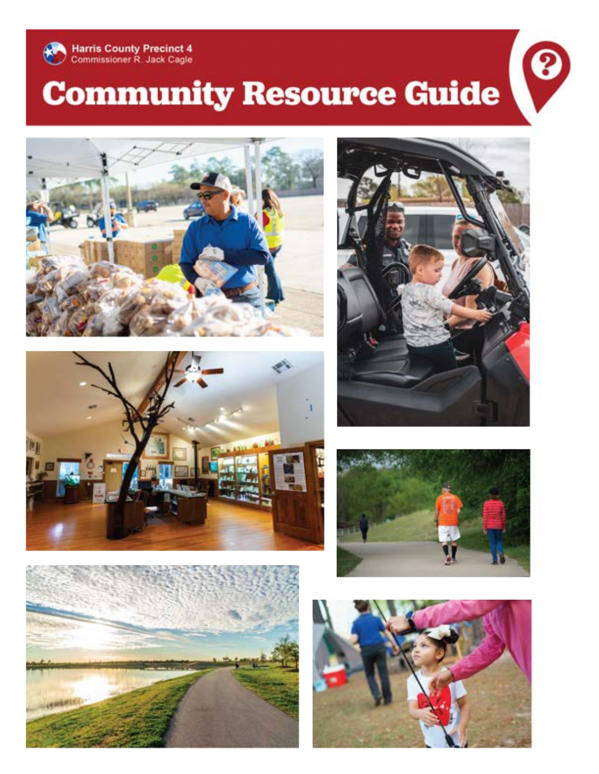

# **Community Resource Guide**







8





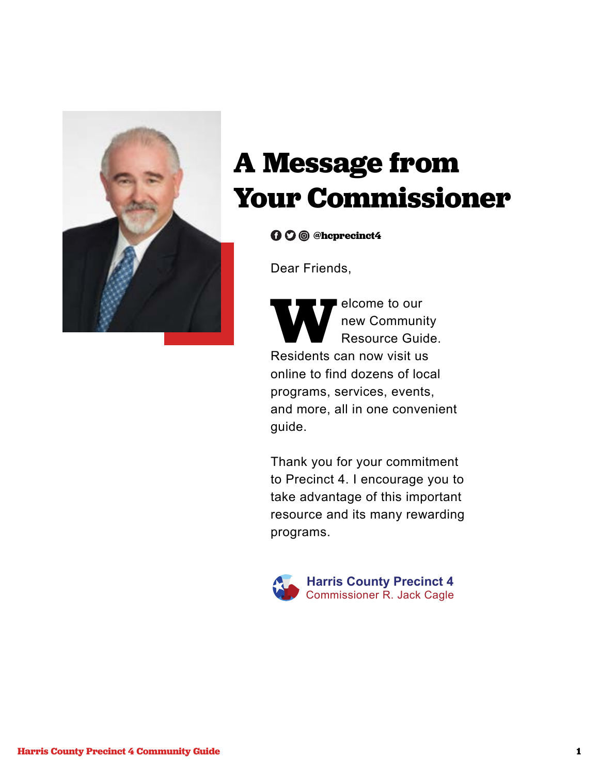

## **A Message from Your Commissioner**

**@hcprecinct4**

Dear Friends,

**WELCOME TO OUT THE SECOND RESIDENT**<br>Residents can now visit us new Community Resource Guide. online to find dozens of local programs, services, events, and more, all in one convenient guide.

Thank you for your commitment to Precinct 4. I encourage you to take advantage of this important resource and its many rewarding programs.

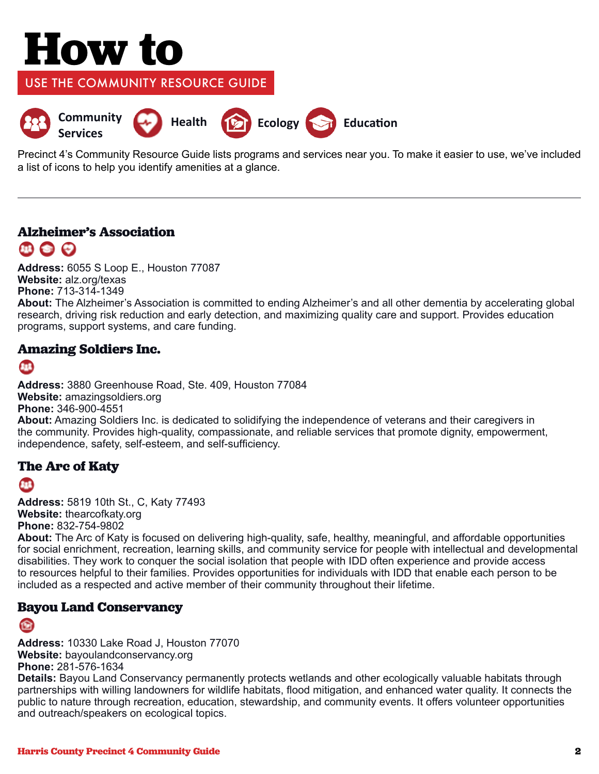# **How to**

USE THE COMMUNITY RESOURCE GUIDE



Precinct 4's Community Resource Guide lists programs and services near you. To make it easier to use, we've included a list of icons to help you identify amenities at a glance.

#### **Alzheimer's Association**   $\mathbf{m} \bullet \mathbf{C}$

**Address:** 6055 S Loop E., Houston 77087 **Website:** alz.org/texas **Phone:** 713-314-1349

**About:** The Alzheimer's Association is committed to ending Alzheimer's and all other dementia by accelerating global research, driving risk reduction and early detection, and maximizing quality care and support. Provides education programs, support systems, and care funding.

#### **Amazing Soldiers Inc.**

#### 8B

**Address:** 3880 Greenhouse Road, Ste. 409, Houston 77084 **Website:** amazingsoldiers.org **Phone:** 346-900-4551 **About:** Amazing Soldiers Inc. is dedicated to solidifying the independence of veterans and their caregivers in the community. Provides high-quality, compassionate, and reliable services that promote dignity, empowerment, independence, safety, self-esteem, and self-sufficiency.

#### **The Arc of Katy**

 $\bullet$ 

**Address:** 5819 10th St., C, Katy 77493 **Website:** thearcofkaty.org **Phone:** 832-754-9802

**About:** The Arc of Katy is focused on delivering high-quality, safe, healthy, meaningful, and affordable opportunities for social enrichment, recreation, learning skills, and community service for people with intellectual and developmental disabilities. They work to conquer the social isolation that people with IDD often experience and provide access to resources helpful to their families. Provides opportunities for individuals with IDD that enable each person to be included as a respected and active member of their community throughout their lifetime.

#### **Bayou Land Conservancy**

**Address:** 10330 Lake Road J, Houston 77070 **Website:** bayoulandconservancy.org **Phone:** 281-576-1634

**Details:** Bayou Land Conservancy permanently protects wetlands and other ecologically valuable habitats through partnerships with willing landowners for wildlife habitats, flood mitigation, and enhanced water quality. It connects the public to nature through recreation, education, stewardship, and community events. It offers volunteer opportunities and outreach/speakers on ecological topics.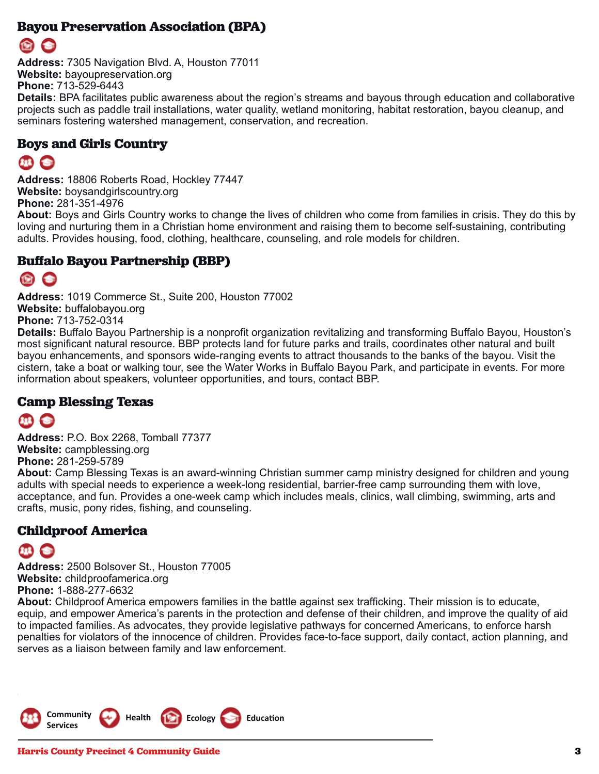#### **Bayou Preservation Association (BPA)**



**Address:** 7305 Navigation Blvd. A, Houston 77011 **Website:** bayoupreservation.org **Phone:** 713-529-6443

**Details:** BPA facilitates public awareness about the region's streams and bayous through education and collaborative projects such as paddle trail installations, water quality, wetland monitoring, habitat restoration, bayou cleanup, and seminars fostering watershed management, conservation, and recreation.

#### **Boys and Girls Country**

**Address:** 18806 Roberts Road, Hockley 77447 **Website:** boysandgirlscountry.org **Phone:** 281-351-4976

**About:** Boys and Girls Country works to change the lives of children who come from families in crisis. They do this by loving and nurturing them in a Christian home environment and raising them to become self-sustaining, contributing adults. Provides housing, food, clothing, healthcare, counseling, and role models for children.

#### **Buffalo Bayou Partnership (BBP)**

## 图 合

**Address:** 1019 Commerce St., Suite 200, Houston 77002 **Website:** buffalobayou.org **Phone:** 713-752-0314

**Details:** Buffalo Bayou Partnership is a nonprofit organization revitalizing and transforming Buffalo Bayou, Houston's most significant natural resource. BBP protects land for future parks and trails, coordinates other natural and built bayou enhancements, and sponsors wide-ranging events to attract thousands to the banks of the bayou. Visit the cistern, take a boat or walking tour, see the Water Works in Buffalo Bayou Park, and participate in events. For more information about speakers, volunteer opportunities, and tours, contact BBP.

#### **Camp Blessing Texas**



**Address:** P.O. Box 2268, Tomball 77377 **Website:** campblessing.org **Phone:** 281-259-5789

**About:** Camp Blessing Texas is an award-winning Christian summer camp ministry designed for children and young adults with special needs to experience a week-long residential, barrier-free camp surrounding them with love, acceptance, and fun. Provides a one-week camp which includes meals, clinics, wall climbing, swimming, arts and crafts, music, pony rides, fishing, and counseling.

#### **Childproof America**

**Address:** 2500 Bolsover St., Houston 77005 **Website:** childproofamerica.org **Phone:** 1-888-277-6632

**About:** Childproof America empowers families in the battle against sex trafficking. Their mission is to educate, equip, and empower America's parents in the protection and defense of their children, and improve the quality of aid to impacted families. As advocates, they provide legislative pathways for concerned Americans, to enforce harsh penalties for violators of the innocence of children. Provides face-to-face support, daily contact, action planning, and serves as a liaison between family and law enforcement.

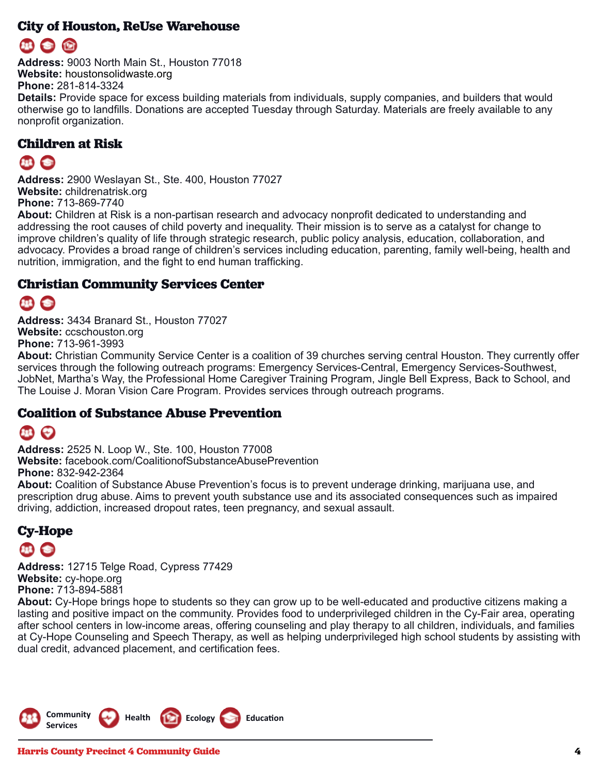#### **City of Houston, ReUse Warehouse**

**Address:** 9003 North Main St., Houston 77018 **Website:** houstonsolidwaste.org **Phone:** 281-814-3324 **Details:** Provide space for excess building materials from individuals, supply companies, and builders that would otherwise go to landfills. Donations are accepted Tuesday through Saturday. Materials are freely available to any nonprofit organization.

#### **Children at Risk**

**Address:** 2900 Weslayan St., Ste. 400, Houston 77027 **Website:** childrenatrisk.org **Phone:** 713-869-7740

**About:** Children at Risk is a non-partisan research and advocacy nonprofit dedicated to understanding and addressing the root causes of child poverty and inequality. Their mission is to serve as a catalyst for change to improve children's quality of life through strategic research, public policy analysis, education, collaboration, and advocacy. Provides a broad range of children's services including education, parenting, family well-being, health and nutrition, immigration, and the fight to end human trafficking.

#### **Christian Community Services Center**

**Address:** 3434 Branard St., Houston 77027 **Website:** ccschouston.org **Phone:** 713-961-3993

**About:** Christian Community Service Center is a coalition of 39 churches serving central Houston. They currently offer services through the following outreach programs: Emergency Services-Central, Emergency Services-Southwest, JobNet, Martha's Way, the Professional Home Caregiver Training Program, Jingle Bell Express, Back to School, and The Louise J. Moran Vision Care Program. Provides services through outreach programs.

#### **Coalition of Substance Abuse Prevention**

## 98 (2)

**Address:** 2525 N. Loop W., Ste. 100, Houston 77008 **Website:** facebook.com/CoalitionofSubstanceAbusePrevention **Phone:** 832-942-2364

**About:** Coalition of Substance Abuse Prevention's focus is to prevent underage drinking, marijuana use, and prescription drug abuse. Aims to prevent youth substance use and its associated consequences such as impaired driving, addiction, increased dropout rates, teen pregnancy, and sexual assault.

## **Cy-Hope**

**Address:** 12715 Telge Road, Cypress 77429 **Website:** cy-hope.org **Phone:** 713-894-5881

**About:** Cy-Hope brings hope to students so they can grow up to be well-educated and productive citizens making a lasting and positive impact on the community. Provides food to underprivileged children in the Cy-Fair area, operating after school centers in low-income areas, offering counseling and play therapy to all children, individuals, and families at Cy-Hope Counseling and Speech Therapy, as well as helping underprivileged high school students by assisting with dual credit, advanced placement, and certification fees.

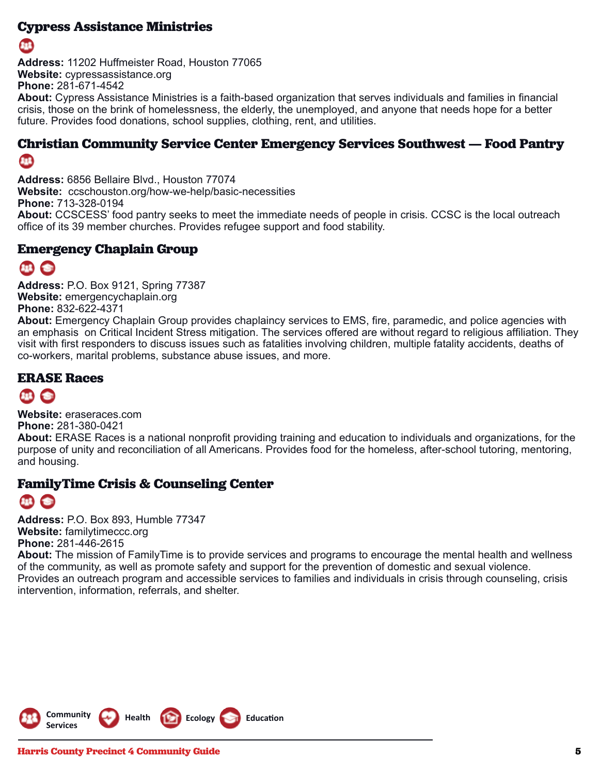#### **Cypress Assistance Ministries**



**Address:** 11202 Huffmeister Road, Houston 77065 **Website:** cypressassistance.org **Phone:** 281-671-4542

**About:** Cypress Assistance Ministries is a faith-based organization that serves individuals and families in financial crisis, those on the brink of homelessness, the elderly, the unemployed, and anyone that needs hope for a better future. Provides food donations, school supplies, clothing, rent, and utilities.

#### **Christian Community Service Center Emergency Services Southwest — Food Pantry** 8B

**Address:** 6856 Bellaire Blvd., Houston 77074 **Website:** ccschouston.org/how-we-help/basic-necessities **Phone:** 713-328-0194 **About:** CCSCESS' food pantry seeks to meet the immediate needs of people in crisis. CCSC is the local outreach office of its 39 member churches. Provides refugee support and food stability.

#### **Emergency Chaplain Group**

## $\mathbf{H}$   $\mathbf{S}$

**Address:** P.O. Box 9121, Spring 77387 **Website:** emergencychaplain.org **Phone:** 832-622-4371

**About:** Emergency Chaplain Group provides chaplaincy services to EMS, fire, paramedic, and police agencies with an emphasis on Critical Incident Stress mitigation. The services offered are without regard to religious affiliation. They visit with first responders to discuss issues such as fatalities involving children, multiple fatality accidents, deaths of co-workers, marital problems, substance abuse issues, and more.

#### **ERASE Races**

**Website:** eraseraces.com **Phone:** 281-380-0421

**About:** ERASE Races is a national nonprofit providing training and education to individuals and organizations, for the purpose of unity and reconciliation of all Americans. Provides food for the homeless, after-school tutoring, mentoring, and housing.

#### **FamilyTime Crisis & Counseling Center**



**Address:** P.O. Box 893, Humble 77347 **Website:** familytimeccc.org **Phone:** 281-446-2615

**About:** The mission of FamilyTime is to provide services and programs to encourage the mental health and wellness of the community, as well as promote safety and support for the prevention of domestic and sexual violence. Provides an outreach program and accessible services to families and individuals in crisis through counseling, crisis intervention, information, referrals, and shelter.

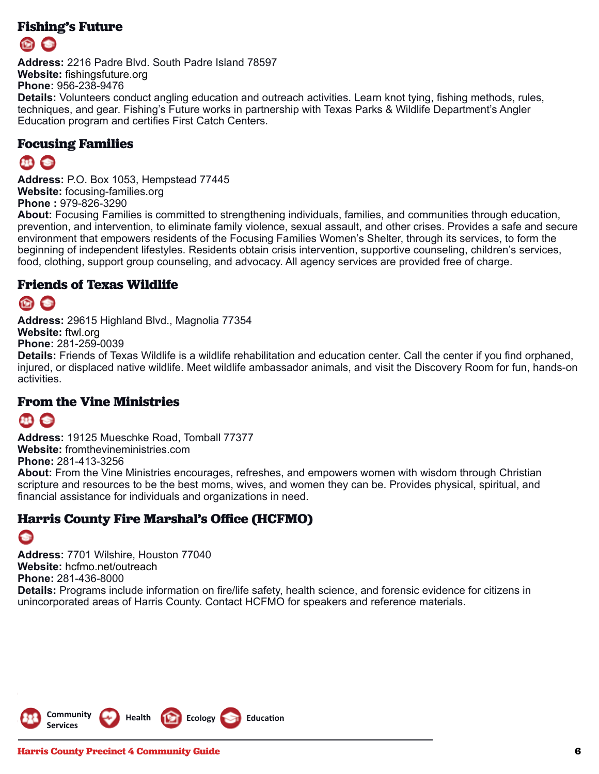#### **Fishing's Future**

**Address:** 2216 Padre Blvd. South Padre Island 78597 **Website:** fishingsfuture.org **Phone:** 956-238-9476

**Details:** Volunteers conduct angling education and outreach activities. Learn knot tying, fishing methods, rules, techniques, and gear. Fishing's Future works in partnership with Texas Parks & Wildlife Department's Angler Education program and certifies First Catch Centers.

#### **Focusing Families**

## **BBG**

**Address:** P.O. Box 1053, Hempstead 77445 **Website:** focusing-families.org **Phone :** 979-826-3290

**About:** Focusing Families is committed to strengthening individuals, families, and communities through education, prevention, and intervention, to eliminate family violence, sexual assault, and other crises. Provides a safe and secure environment that empowers residents of the Focusing Families Women's Shelter, through its services, to form the beginning of independent lifestyles. Residents obtain crisis intervention, supportive counseling, children's services, food, clothing, support group counseling, and advocacy. All agency services are provided free of charge.

#### **Friends of Texas Wildlife**

**Address:** 29615 Highland Blvd., Magnolia 77354 **Website:** ftwl.org

**Phone:** 281-259-0039

**Details:** Friends of Texas Wildlife is a wildlife rehabilitation and education center. Call the center if you find orphaned, injured, or displaced native wildlife. Meet wildlife ambassador animals, and visit the Discovery Room for fun, hands-on activities.

#### **From the Vine Ministries**

## $\bullet$

**Address:** 19125 Mueschke Road, Tomball 77377 **Website:** fromthevineministries.com **Phone:** 281-413-3256

**About:** From the Vine Ministries encourages, refreshes, and empowers women with wisdom through Christian scripture and resources to be the best moms, wives, and women they can be. Provides physical, spiritual, and financial assistance for individuals and organizations in need.

#### **Harris County Fire Marshal's Office (HCFMO)**

#### $\bullet$ **Address:** 7701 Wilshire, Houston 77040 **Website:** hcfmo.net/outreach **Phone:** 281-436-8000 **Details:** Programs include information on fire/life safety, health science, and forensic evidence for citizens in unincorporated areas of Harris County. Contact HCFMO for speakers and reference materials.

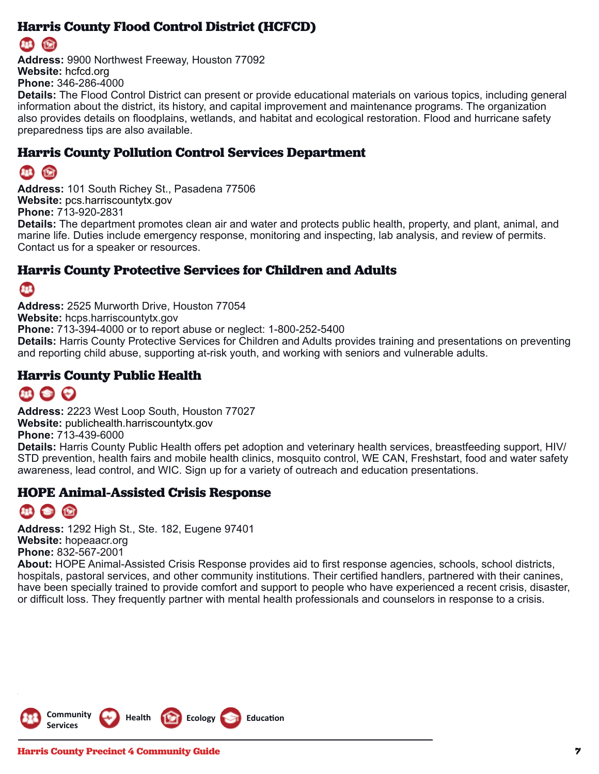#### **Harris County Flood Control District (HCFCD)**

## œ

**Address:** 9900 Northwest Freeway, Houston 77092 **Website:** hcfcd.org **Phone:** 346-286-4000

**Details:** The Flood Control District can present or provide educational materials on various topics, including general information about the district, its history, and capital improvement and maintenance programs. The organization also provides details on floodplains, wetlands, and habitat and ecological restoration. Flood and hurricane safety preparedness tips are also available.

#### **Harris County Pollution Control Services Department**

## G

**Address:** 101 South Richey St., Pasadena 77506 **Website:** pcs.harriscountytx.gov **Phone:** 713-920-2831 **Details:** The department promotes clean air and water and protects public health, property, and plant, animal, and marine life. Duties include emergency response, monitoring and inspecting, lab analysis, and review of permits.

Contact us for a speaker or resources.

#### **Harris County Protective Services for Children and Adults**

#### **ETB**

**Address:** 2525 Murworth Drive, Houston 77054 **Website:** hcps.harriscountytx.gov **Phone:** 713-394-4000 or to report abuse or neglect: 1-800-252-5400 **Details:** Harris County Protective Services for Children and Adults provides training and presentations on preventing and reporting child abuse, supporting at-risk youth, and working with seniors and vulnerable adults.

#### **Harris County Public Health**

## 111 全日

**Address:** 2223 West Loop South, Houston 77027 **Website:** publichealth.harriscountytx.gov

**Phone:** 713-439-6000

**Details:** Harris County Public Health offers pet adoption and veterinary health services, breastfeeding support, HIV/ STD prevention, health fairs and mobile health clinics, mosquito control, WE CAN, Freshstart, food and water safety awareness, lead control, and WIC. Sign up for a variety of outreach and education presentations.

#### **HOPE Animal-Assisted Crisis Response**

**Address:** 1292 High St., Ste. 182, Eugene 97401 **Website:** hopeaacr.org **Phone:** 832-567-2001

**About:** HOPE Animal-Assisted Crisis Response provides aid to first response agencies, schools, school districts, hospitals, pastoral services, and other community institutions. Their certified handlers, partnered with their canines, have been specially trained to provide comfort and support to people who have experienced a recent crisis, disaster, or difficult loss. They frequently partner with mental health professionals and counselors in response to a crisis.

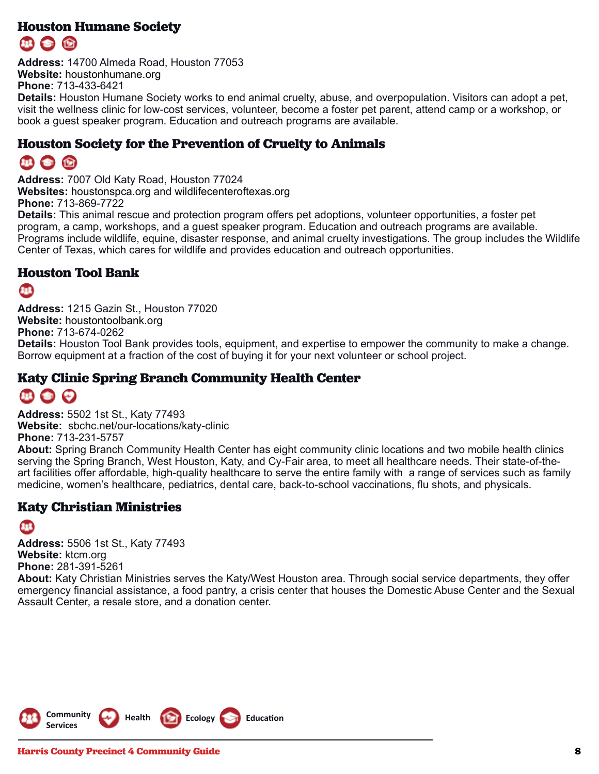#### **Houston Humane Society**

**Address:** 14700 Almeda Road, Houston 77053 **Website:** houstonhumane.org **Phone:** 713-433-6421

**Details:** Houston Humane Society works to end animal cruelty, abuse, and overpopulation. Visitors can adopt a pet, visit the wellness clinic for low-cost services, volunteer, become a foster pet parent, attend camp or a workshop, or book a guest speaker program. Education and outreach programs are available.

#### **Houston Society for the Prevention of Cruelty to Animals**

## 114 全 份

**Address:** 7007 Old Katy Road, Houston 77024 **Websites:** houstonspca.org and wildlifecenteroftexas.org **Phone:** 713-869-7722

**Details:** This animal rescue and protection program offers pet adoptions, volunteer opportunities, a foster pet program, a camp, workshops, and a guest speaker program. Education and outreach programs are available. Programs include wildlife, equine, disaster response, and animal cruelty investigations. The group includes the Wildlife Center of Texas, which cares for wildlife and provides education and outreach opportunities.

#### **Houston Tool Bank**

86

**Address:** 1215 Gazin St., Houston 77020 **Website:** houstontoolbank.org **Phone:** 713-674-0262 **Details:** Houston Tool Bank provides tools, equipment, and expertise to empower the community to make a change. Borrow equipment at a fraction of the cost of buying it for your next volunteer or school project.

#### **Katy Clinic Spring Branch Community Health Center**

## **111 ● ●**

**Address:** 5502 1st St., Katy 77493 **Website:** sbchc.net/our-locations/katy-clinic **Phone:** 713-231-5757

**About:** Spring Branch Community Health Center has eight community clinic locations and two mobile health clinics serving the Spring Branch, West Houston, Katy, and Cy-Fair area, to meet all healthcare needs. Their state-of-theart facilities offer affordable, high-quality healthcare to serve the entire family with a range of services such as family medicine, women's healthcare, pediatrics, dental care, back-to-school vaccinations, flu shots, and physicals.

#### **Katy Christian Ministries**

8B

**Address:** 5506 1st St., Katy 77493 **Website:** ktcm.org **Phone:** 281-391-5261 **About:** Katy Christian Ministries serves the Katy/West Houston area. Through social service departments, they offer emergency financial assistance, a food pantry, a crisis center that houses the Domestic Abuse Center and the Sexual Assault Center, a resale store, and a donation center.

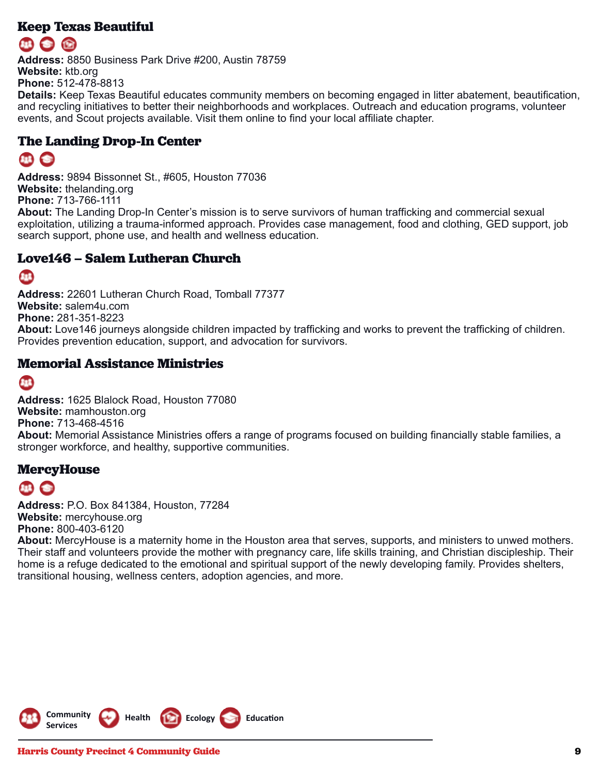#### **Keep Texas Beautiful**

**Address:** 8850 Business Park Drive #200, Austin 78759 **Website:** ktb.org **Phone:** 512-478-8813

**Details:** Keep Texas Beautiful educates community members on becoming engaged in litter abatement, beautification, and recycling initiatives to better their neighborhoods and workplaces. Outreach and education programs, volunteer events, and Scout projects available. Visit them online to find your local affiliate chapter.

#### **The Landing Drop-In Center**

**Address:** 9894 Bissonnet St., #605, Houston 77036 **Website:** thelanding.org **Phone:** 713-766-1111

**About:** The Landing Drop-In Center's mission is to serve survivors of human trafficking and commercial sexual exploitation, utilizing a trauma-informed approach. Provides case management, food and clothing, GED support, job search support, phone use, and health and wellness education.

#### **Love146 – Salem Lutheran Church**

#### **BB**

**Address:** 22601 Lutheran Church Road, Tomball 77377 **Website:** salem4u.com **Phone:** 281-351-8223 **About:** Love146 journeys alongside children impacted by trafficking and works to prevent the trafficking of children. Provides prevention education, support, and advocation for survivors.

#### **Memorial Assistance Ministries**

#### Œ

**Address:** 1625 Blalock Road, Houston 77080 **Website:** mamhouston.org **Phone:** 713-468-4516 **About:** Memorial Assistance Ministries offers a range of programs focused on building financially stable families, a stronger workforce, and healthy, supportive communities.

#### **MercyHouse**

**Address:** P.O. Box 841384, Houston, 77284 **Website:** mercyhouse.org **Phone:** 800-403-6120

**About:** MercyHouse is a maternity home in the Houston area that serves, supports, and ministers to unwed mothers. Their staff and volunteers provide the mother with pregnancy care, life skills training, and Christian discipleship. Their home is a refuge dedicated to the emotional and spiritual support of the newly developing family. Provides shelters, transitional housing, wellness centers, adoption agencies, and more.

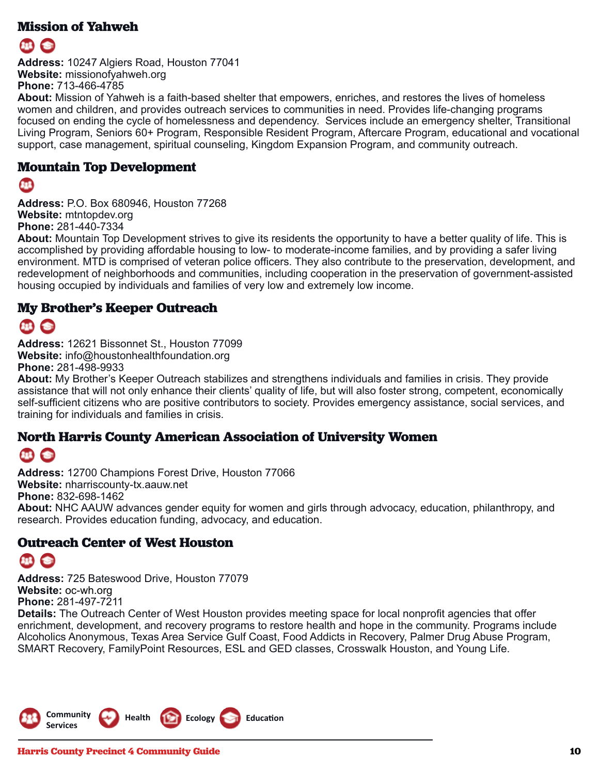#### **Mission of Yahweh**



**Address:** 10247 Algiers Road, Houston 77041 **Website:** missionofyahweh.org **Phone:** 713-466-4785

**About:** Mission of Yahweh is a faith-based shelter that empowers, enriches, and restores the lives of homeless women and children, and provides outreach services to communities in need. Provides life-changing programs focused on ending the cycle of homelessness and dependency. Services include an emergency shelter, Transitional Living Program, Seniors 60+ Program, Responsible Resident Program, Aftercare Program, educational and vocational support, case management, spiritual counseling, Kingdom Expansion Program, and community outreach.

#### **Mountain Top Development**

#### 813

**Address:** P.O. Box 680946, Houston 77268 **Website:** mtntopdev.org **Phone:** 281-440-7334

**About:** Mountain Top Development strives to give its residents the opportunity to have a better quality of life. This is accomplished by providing affordable housing to low- to moderate-income families, and by providing a safer living environment. MTD is comprised of veteran police officers. They also contribute to the preservation, development, and redevelopment of neighborhoods and communities, including cooperation in the preservation of government-assisted housing occupied by individuals and families of very low and extremely low income.

#### **My Brother's Keeper Outreach**

**Address:** 12621 Bissonnet St., Houston 77099 **Website:** info@houstonhealthfoundation.org **Phone:** 281-498-9933

**About:** My Brother's Keeper Outreach stabilizes and strengthens individuals and families in crisis. They provide assistance that will not only enhance their clients' quality of life, but will also foster strong, competent, economically self-sufficient citizens who are positive contributors to society. Provides emergency assistance, social services, and training for individuals and families in crisis.

#### **North Harris County American Association of University Women**

#### $\bullet$ **STER**

**Address:** 12700 Champions Forest Drive, Houston 77066 **Website:** nharriscounty-tx.aauw.net **Phone:** 832-698-1462 **About:** NHC AAUW advances gender equity for women and girls through advocacy, education, philanthropy, and research. Provides education funding, advocacy, and education.

#### **Outreach Center of West Houston**

**Address:** 725 Bateswood Drive, Houston 77079 **Website:** oc-wh.org **Phone:** 281-497-7211

**Details:** The Outreach Center of West Houston provides meeting space for local nonprofit agencies that offer enrichment, development, and recovery programs to restore health and hope in the community. Programs include Alcoholics Anonymous, Texas Area Service Gulf Coast, Food Addicts in Recovery, Palmer Drug Abuse Program, SMART Recovery, FamilyPoint Resources, ESL and GED classes, Crosswalk Houston, and Young Life.

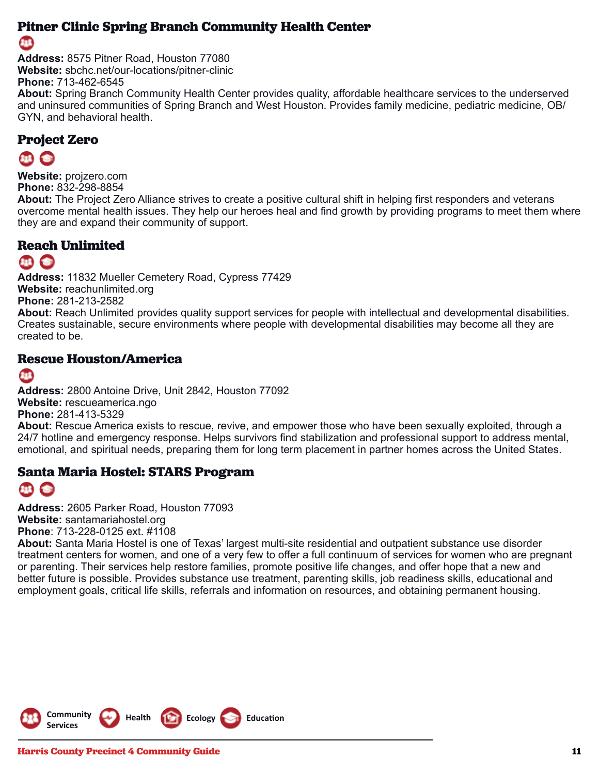#### **Pitner Clinic Spring Branch Community Health Center**

#### 88

**Address:** 8575 Pitner Road, Houston 77080 **Website:** sbchc.net/our-locations/pitner-clinic **Phone:** 713-462-6545 **About:** Spring Branch Community Health Center provides quality, affordable healthcare services to the underserved and uninsured communities of Spring Branch and West Houston. Provides family medicine, pediatric medicine, OB/

#### **Project Zero**

**Website:** projzero.com **Phone:** 832-298-8854

GYN, and behavioral health.

**About:** The Project Zero Alliance strives to create a positive cultural shift in helping first responders and veterans overcome mental health issues. They help our heroes heal and find growth by providing programs to meet them where they are and expand their community of support.

#### **Reach Unlimited**

### $EB$   $C$

**Address:** 11832 Mueller Cemetery Road, Cypress 77429 **Website:** reachunlimited.org **Phone:** 281-213-2582 **About:** Reach Unlimited provides quality support services for people with intellectual and developmental disabilities. Creates sustainable, secure environments where people with developmental disabilities may become all they are created to be.

#### **Rescue Houston/America**

#### 813

**Address:** 2800 Antoine Drive, Unit 2842, Houston 77092 **Website:** rescueamerica.ngo **Phone:** 281-413-5329

**About:** Rescue America exists to rescue, revive, and empower those who have been sexually exploited, through a 24/7 hotline and emergency response. Helps survivors find stabilization and professional support to address mental, emotional, and spiritual needs, preparing them for long term placement in partner homes across the United States.

#### **Santa Maria Hostel: STARS Program**

**Address:** 2605 Parker Road, Houston 77093 **Website:** santamariahostel.org **Phone**: 713-228-0125 ext. #1108

**About:** Santa Maria Hostel is one of Texas' largest multi-site residential and outpatient substance use disorder treatment centers for women, and one of a very few to offer a full continuum of services for women who are pregnant or parenting. Their services help restore families, promote positive life changes, and offer hope that a new and better future is possible. Provides substance use treatment, parenting skills, job readiness skills, educational and employment goals, critical life skills, referrals and information on resources, and obtaining permanent housing.

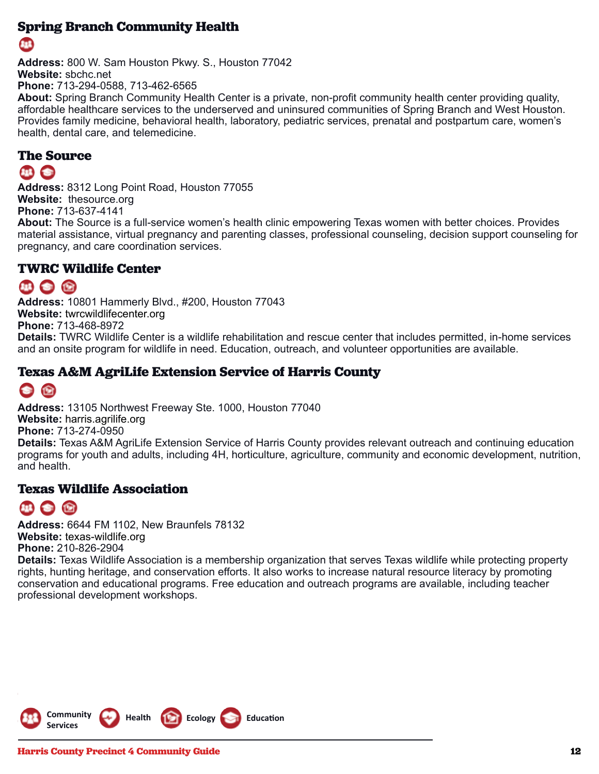#### **Spring Branch Community Health**

**Address:** 800 W. Sam Houston Pkwy. S., Houston 77042 **Website:** sbchc.net **Phone:** 713-294-0588, 713-462-6565

**About:** Spring Branch Community Health Center is a private, non-profit community health center providing quality, affordable healthcare services to the underserved and uninsured communities of Spring Branch and West Houston. Provides family medicine, behavioral health, laboratory, pediatric services, prenatal and postpartum care, women's health, dental care, and telemedicine.

#### **The Source**

#### 11 全

**Address:** 8312 Long Point Road, Houston 77055 **Website:** thesource.org **Phone:** 713-637-4141

**About:** The Source is a full-service women's health clinic empowering Texas women with better choices. Provides material assistance, virtual pregnancy and parenting classes, professional counseling, decision support counseling for pregnancy, and care coordination services.

#### **TWRC Wildlife Center**

#### 11 全 份

**Address:** 10801 Hammerly Blvd., #200, Houston 77043 **Website:** twrcwildlifecenter.org **Phone:** 713-468-8972 **Details:** TWRC Wildlife Center is a wildlife rehabilitation and rescue center that includes permitted, in-home services and an onsite program for wildlife in need. Education, outreach, and volunteer opportunities are available.

#### **Texas A&M AgriLife Extension Service of Harris County**

## 企

**Address:** 13105 Northwest Freeway Ste. 1000, Houston 77040 **Website:** harris.agrilife.org **Phone:** 713-274-0950 **Details:** Texas A&M AgriLife Extension Service of Harris County provides relevant outreach and continuing education programs for youth and adults, including 4H, horticulture, agriculture, community and economic development, nutrition, and health.

#### **Texas Wildlife Association**

## 44 全 份

**Address:** 6644 FM 1102, New Braunfels 78132 **Website:** texas-wildlife.org **Phone:** 210-826-2904

**Details:** Texas Wildlife Association is a membership organization that serves Texas wildlife while protecting property rights, hunting heritage, and conservation efforts. It also works to increase natural resource literacy by promoting conservation and educational programs. Free education and outreach programs are available, including teacher professional development workshops.

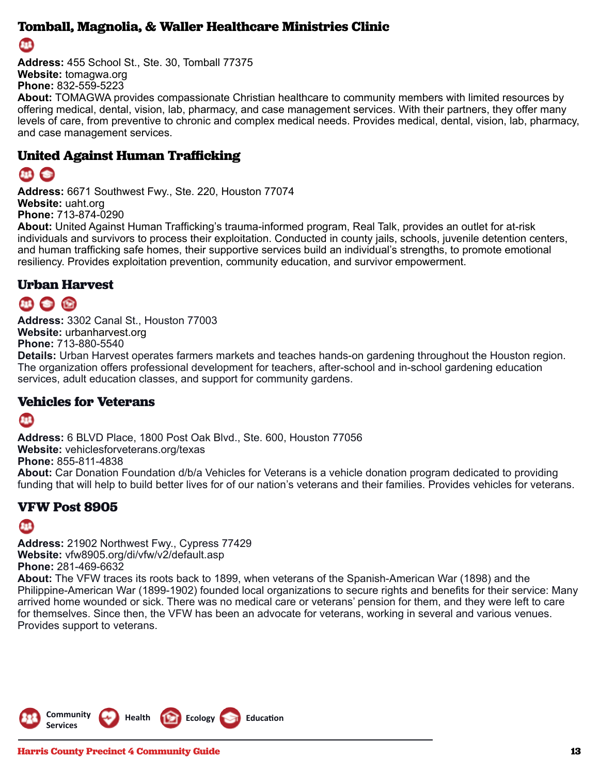#### **Tomball, Magnolia, & Waller Healthcare Ministries Clinic**

Œ

**Address:** 455 School St., Ste. 30, Tomball 77375 **Website:** tomagwa.org **Phone:** 832-559-5223

**About:** TOMAGWA provides compassionate Christian healthcare to community members with limited resources by offering medical, dental, vision, lab, pharmacy, and case management services. With their partners, they offer many levels of care, from preventive to chronic and complex medical needs. Provides medical, dental, vision, lab, pharmacy, and case management services.

#### **United Against Human Trafficking**

## 48 全

**Address:** 6671 Southwest Fwy., Ste. 220, Houston 77074 **Website:** uaht.org **Phone:** 713-874-0290

**About:** United Against Human Trafficking's trauma-informed program, Real Talk, provides an outlet for at-risk individuals and survivors to process their exploitation. Conducted in county jails, schools, juvenile detention centers, and human trafficking safe homes, their supportive services build an individual's strengths, to promote emotional resiliency. Provides exploitation prevention, community education, and survivor empowerment.

#### **Urban Harvest**

## 11 全国

**Address:** 3302 Canal St., Houston 77003 **Website:** urbanharvest.org **Phone:** 713-880-5540

**Details:** Urban Harvest operates farmers markets and teaches hands-on gardening throughout the Houston region. The organization offers professional development for teachers, after-school and in-school gardening education services, adult education classes, and support for community gardens.

#### **Vehicles for Veterans**

#### 8B

**Address:** 6 BLVD Place, 1800 Post Oak Blvd., Ste. 600, Houston 77056 **Website:** vehiclesforveterans.org/texas **Phone:** 855-811-4838 **About:** Car Donation Foundation d/b/a Vehicles for Veterans is a vehicle donation program dedicated to providing funding that will help to build better lives for of our nation's veterans and their families. Provides vehicles for veterans.

#### **VFW Post 8905**

#### Œ

**Address:** 21902 Northwest Fwy., Cypress 77429 **Website:** vfw8905.org/di/vfw/v2/default.asp **Phone:** 281-469-6632 **About:** The VFW traces its roots back to 1899, when veterans of the Spanish-American War (1898) and the

Philippine-American War (1899-1902) founded local organizations to secure rights and benefits for their service: Many arrived home wounded or sick. There was no medical care or veterans' pension for them, and they were left to care for themselves. Since then, the VFW has been an advocate for veterans, working in several and various venues. Provides support to veterans.

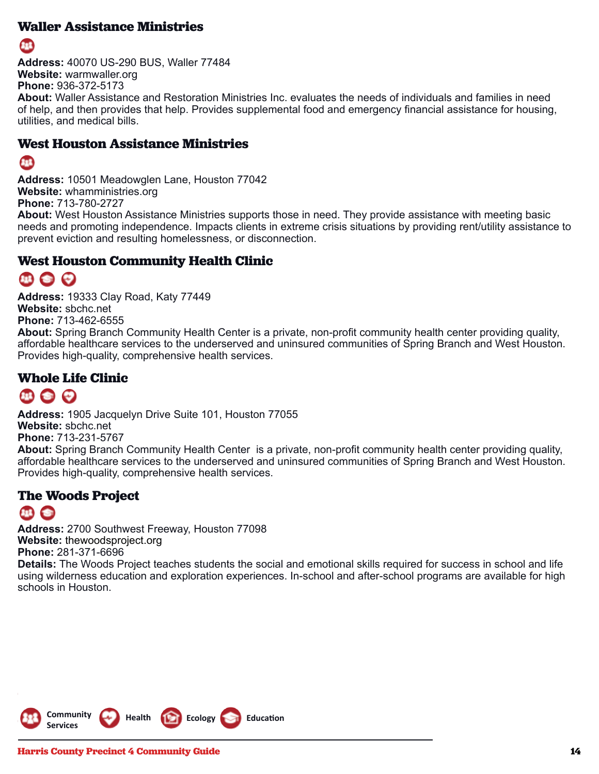#### **Waller Assistance Ministries**



**Address:** 40070 US-290 BUS, Waller 77484 **Website:** warmwaller.org **Phone:** 936-372-5173 **About:** Waller Assistance and Restoration Ministries Inc. evaluates the needs of individuals and families in need of help, and then provides that help. Provides supplemental food and emergency financial assistance for housing, utilities, and medical bills.

#### **West Houston Assistance Ministries**

#### 813

**Address:** 10501 Meadowglen Lane, Houston 77042 **Website:** whamministries.org **Phone:** 713-780-2727

**About:** West Houston Assistance Ministries supports those in need. They provide assistance with meeting basic needs and promoting independence. Impacts clients in extreme crisis situations by providing rent/utility assistance to prevent eviction and resulting homelessness, or disconnection.

#### **West Houston Community Health Clinic**

## 119 3 2

**Address:** 19333 Clay Road, Katy 77449 **Website:** sbchc.net **Phone:** 713-462-6555 **About:** Spring Branch Community Health Center is a private, non-profit community health center providing quality, affordable healthcare services to the underserved and uninsured communities of Spring Branch and West Houston. Provides high-quality, comprehensive health services.

#### **Whole Life Clinic**

**Address:** 1905 Jacquelyn Drive Suite 101, Houston 77055 **Website:** sbchc.net **Phone:** 713-231-5767 **About:** Spring Branch Community Health Center is a private, non-profit community health center providing quality, affordable healthcare services to the underserved and uninsured communities of Spring Branch and West Houston. Provides high-quality, comprehensive health services.

#### **The Woods Project**

#### $\bullet$

**Address:** 2700 Southwest Freeway, Houston 77098 **Website:** thewoodsproject.org **Phone:** 281-371-6696 **Details:** The Woods Project teaches students the social and emotional skills required for success in school and life using wilderness education and exploration experiences. In-school and after-school programs are available for high schools in Houston.

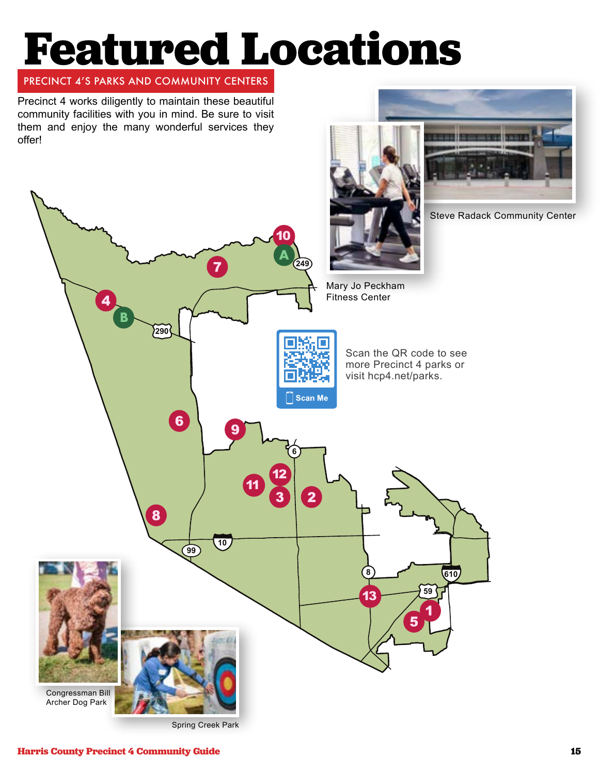# **Featured Locations**

#### PRECINCT 4'S PARKS AND COMMUNITY CENTERS

Precinct 4 works diligently to maintain these beautiful community facilities with you in mind. Be sure to visit them and enjoy the many wonderful services they offer!

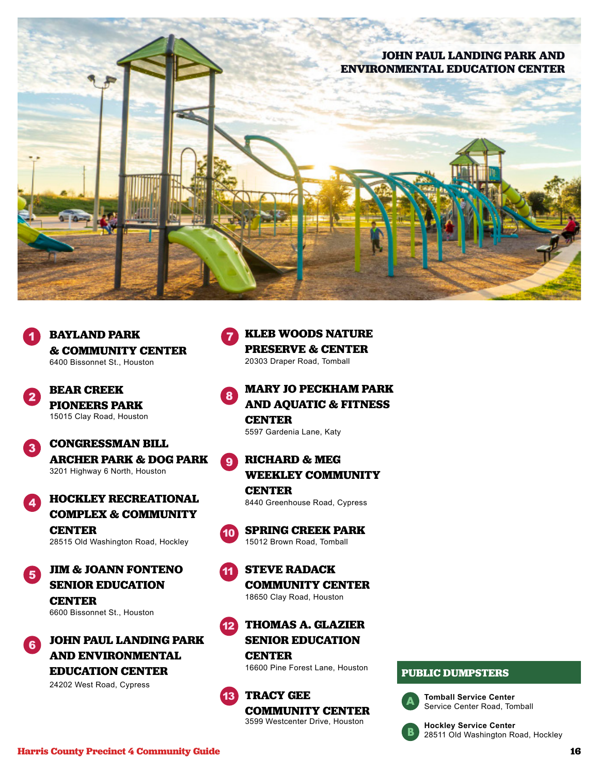# **JOHN PAUL LANDING PARK AND ENVIRONMENTAL EDUCATION CENTER**



**BEAR CREEK PIONEERS PARK** 15015 Clay Road, Houston

#### **CONGRESSMAN BILL**   $\overline{\mathbf{3}}$ **ARCHER PARK & DOG PARK**

3201 Highway 6 North, Houston



**JIM & JOANN FONTENO SENIOR EDUCATION CENTER** 6600 Bissonnet St., Houston



## **KLEB WOODS NATURE PRESERVE & CENTER**

20303 Draper Road, Tomball

#### **MARY JO PECKHAM PARK AND AQUATIC & FITNESS CENTER**

5597 Gardenia Lane, Katy

#### **RICHARD & MEG WEEKLEY COMMUNITY CENTER**

8440 Greenhouse Road, Cypress



**SPRING CREEK PARK** 15012 Brown Road, Tomball

#### 11 **STEVE RADACK COMMUNITY CENTER** 18650 Clay Road, Houston

12 **THOMAS A. GLAZIER SENIOR EDUCATION CENTER**

16600 Pine Forest Lane, Houston



**TRACY GEE COMMUNITY CENTER** 3599 Westcenter Drive, Houston

#### **PUBLIC DUMPSTERS**



**Tomball Service Center** Service Center Road, Tomball



**Hockley Service Center** 28511 Old Washington Road, Hockley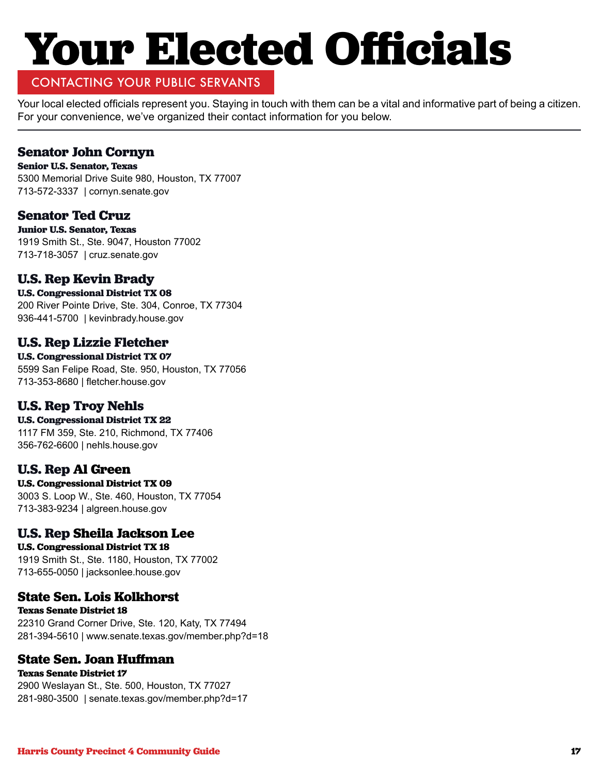# **Your Elected Officials**

#### CONTACTING YOUR PUBLIC SERVANTS

Your local elected officials represent you. Staying in touch with them can be a vital and informative part of being a citizen. For your convenience, we've organized their contact information for you below.

#### **Senator John Cornyn**

**Senior U.S. Senator, Texas** 5300 Memorial Drive Suite 980, Houston, TX 77007 713-572-3337 | cornyn.senate.gov

#### **Senator Ted Cruz**

**Junior U.S. Senator, Texas** 1919 Smith St., Ste. 9047, Houston 77002 713-718-3057 | cruz.senate.gov

#### **U.S. Rep Kevin Brady**

**U.S. Congressional District TX 08**

200 River Pointe Drive, Ste. 304, Conroe, TX 77304 936-441-5700 | kevinbrady.house.gov

#### **U.S. Rep Lizzie Fletcher**

**U.S. Congressional District TX 07** 5599 San Felipe Road, Ste. 950, Houston, TX 77056 713-353-8680 | fletcher.house.gov

#### **U.S. Rep Troy Nehls**

**U.S. Congressional District TX 22**

1117 FM 359, Ste. 210, Richmond, TX 77406 356-762-6600 | nehls.house.gov

#### **U.S. Rep Al Green**

**U.S. Congressional District TX 09** 3003 S. Loop W., Ste. 460, Houston, TX 77054 713-383-9234 | algreen.house.gov

#### **U.S. Rep Sheila Jackson Lee**

**U.S. Congressional District TX 18** 1919 Smith St., Ste. 1180, Houston, TX 77002 713-655-0050 | jacksonlee.house.gov

#### **State Sen. Lois Kolkhorst**

**Texas Senate District 18** 22310 Grand Corner Drive, Ste. 120, Katy, TX 77494 281-394-5610 | www.senate.texas.gov/member.php?d=18

#### **State Sen. Joan Huffman**

**Texas Senate District 17** 2900 Weslayan St., Ste. 500, Houston, TX 77027 281-980-3500 | senate.texas.gov/member.php?d=17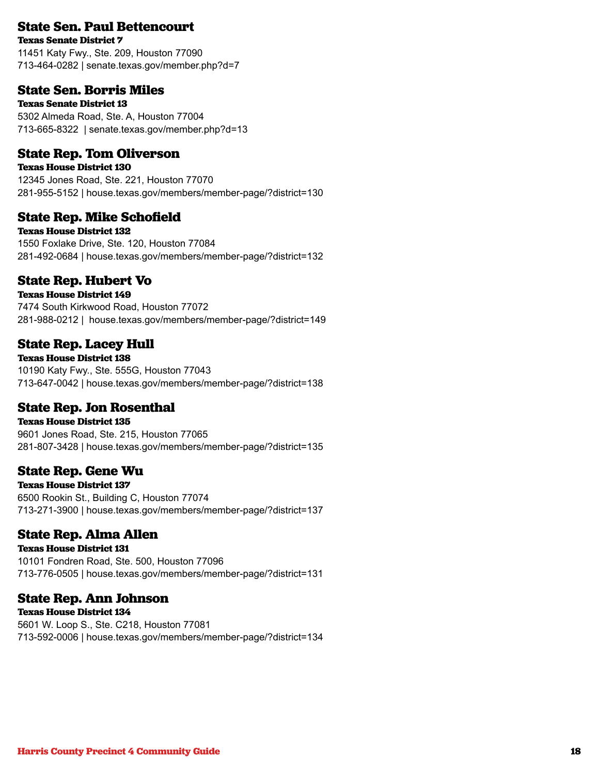#### **State Sen. Paul Bettencourt**

**Texas Senate District 7**

11451 Katy Fwy., Ste. 209, Houston 77090 713-464-0282 | senate.texas.gov/member.php?d=7

#### **State Sen. Borris Miles**

**Texas Senate District 13** 5302 Almeda Road, Ste. A, Houston 77004 713-665-8322 | senate.texas.gov/member.php?d=13

#### **State Rep. Tom Oliverson**

**Texas House District 130** 12345 Jones Road, Ste. 221, Houston 77070 281-955-5152 | house.texas.gov/members/member-page/?district=130

#### **State Rep. Mike Schofield**

**Texas House District 132** 1550 Foxlake Drive, Ste. 120, Houston 77084 281-492-0684 | house.texas.gov/members/member-page/?district=132

#### **State Rep. Hubert Vo**

**Texas House District 149** 7474 South Kirkwood Road, Houston 77072 281-988-0212 | house.texas.gov/members/member-page/?district=149

#### **State Rep. Lacey Hull**

**Texas House District 138** 10190 Katy Fwy., Ste. 555G, Houston 77043 713-647-0042 | house.texas.gov/members/member-page/?district=138

#### **State Rep. Jon Rosenthal**

**Texas House District 135** 9601 Jones Road, Ste. 215, Houston 77065 281-807-3428 | house.texas.gov/members/member-page/?district=135

#### **State Rep. Gene Wu**

**Texas House District 137** 6500 Rookin St., Building C, Houston 77074 713-271-3900 | house.texas.gov/members/member-page/?district=137

#### **State Rep. Alma Allen**

**Texas House District 131** 10101 Fondren Road, Ste. 500, Houston 77096 713-776-0505 | house.texas.gov/members/member-page/?district=131

#### **State Rep. Ann Johnson**

**Texas House District 134** 5601 W. Loop S., Ste. C218, Houston 77081 713-592-0006 | house.texas.gov/members/member-page/?district=134